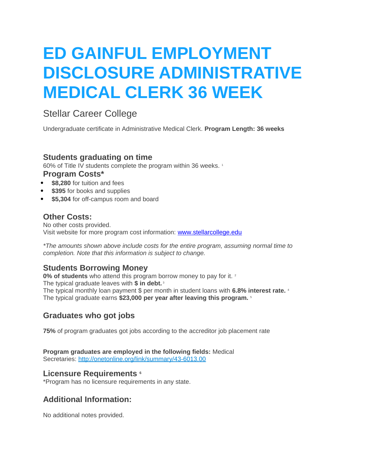# **ED GAINFUL EMPLOYMENT DISCLOSURE ADMINISTRATIVE MEDICAL CLERK 36 WEEK**

## Stellar Career College

Undergraduate certificate in Administrative Medical Clerk. **Program Length: 36 weeks**

#### **Students graduating on time**

60% of Title IV students complete the program within 36 weeks.<sup>1</sup> **Program Costs\***

- **\$8,280** for tuition and fees
- **\$395** for books and supplies
- **\$5,304** for off-campus room and board

#### **Other Costs:**

No other costs provided. Visit website for more program cost information: [www.stellarcollege.edu](http://www.stellarcollege.edu/)

*\*The amounts shown above include costs for the entire program, assuming normal time to completion. Note that this information is subject to change.*

## **Students Borrowing Money**

**0% of students** who attend this program borrow money to pay for it. <sup>2</sup> The typical graduate leaves with **\$ in debt.** <sup>3</sup> The typical monthly loan payment \$ per month in student loans with **6.8% interest rate.** <sup>4</sup> The typical graduate earns **\$23,000 per year after leaving this program.** <sup>5</sup>

## **Graduates who got jobs**

**75%** of program graduates got jobs according to the accreditor job placement rate

**Program graduates are employed in the following fields:** Medical Secretaries: <http://onetonline.org/link/summary/43-6013.00>

#### **Licensure Requirements <sup>6</sup>**

\*Program has no licensure requirements in any state.

## **Additional Information:**

No additional notes provided.